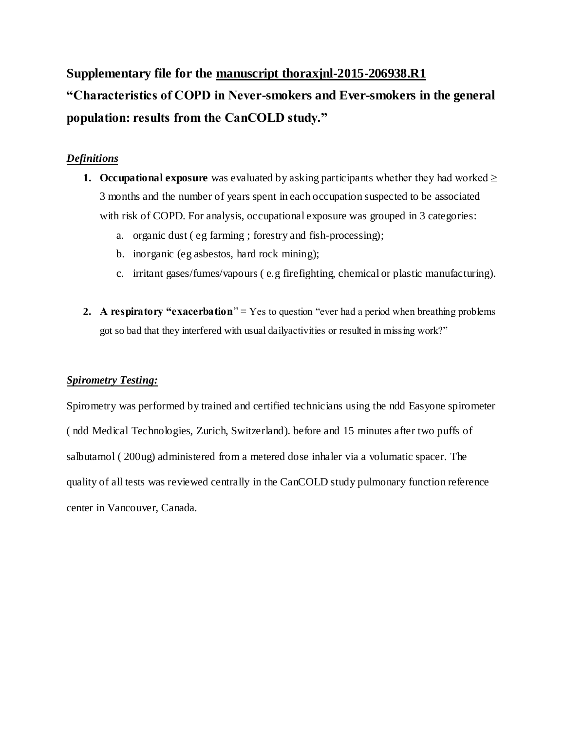**Supplementary file for the manuscript thoraxjnl-2015-206938.R1 "Characteristics of COPD in Never-smokers and Ever-smokers in the general population: results from the CanCOLD study."**

### *Definitions*

- **1. Occupational exposure** was evaluated by asking participants whether they had worked  $\geq$ 3 months and the number of years spent in each occupation suspected to be associated with risk of COPD. For analysis, occupational exposure was grouped in 3 categories:
	- a. organic dust ( eg farming ; forestry and fish-processing);
	- b. inorganic (eg asbestos, hard rock mining);
	- c. irritant gases/fumes/vapours ( e.g firefighting, chemical or plastic manufacturing).
- **2. A respiratory "exacerbation**" = Yes to question "ever had a period when breathing problems got so bad that they interfered with usual dailyactivities or resulted in missing work?"

#### *Spirometry Testing:*

Spirometry was performed by trained and certified technicians using the ndd Easyone spirometer ( ndd Medical Technologies, Zurich, Switzerland). before and 15 minutes after two puffs of salbutamol ( 200ug) administered from a metered dose inhaler via a volumatic spacer. The quality of all tests was reviewed centrally in the CanCOLD study pulmonary function reference center in Vancouver, Canada.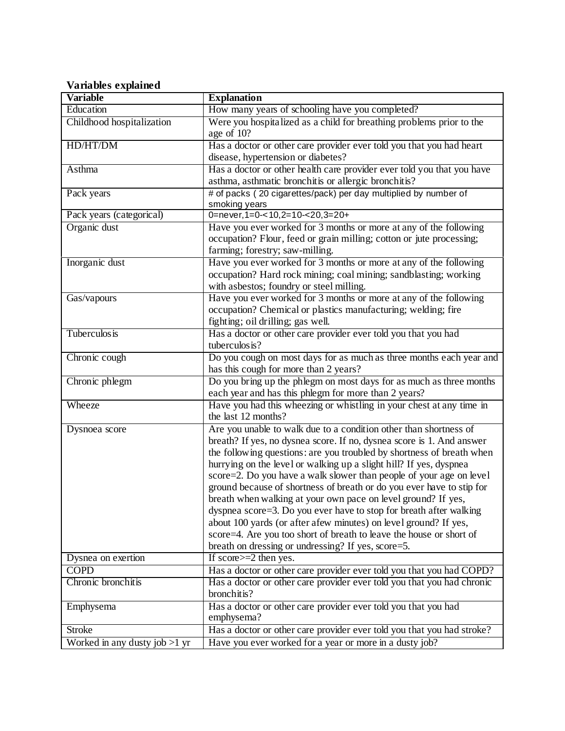# **Variables explained**

| <b>Variable</b>                 | <b>Explanation</b>                                                                                                                                                                                                                                                                                                                                                                                                                                                                                                                                                                                                                                                                                                                                                                |
|---------------------------------|-----------------------------------------------------------------------------------------------------------------------------------------------------------------------------------------------------------------------------------------------------------------------------------------------------------------------------------------------------------------------------------------------------------------------------------------------------------------------------------------------------------------------------------------------------------------------------------------------------------------------------------------------------------------------------------------------------------------------------------------------------------------------------------|
| Education                       | How many years of schooling have you completed?                                                                                                                                                                                                                                                                                                                                                                                                                                                                                                                                                                                                                                                                                                                                   |
| Childhood hospitalization       | Were you hospitalized as a child for breathing problems prior to the<br>age of 10?                                                                                                                                                                                                                                                                                                                                                                                                                                                                                                                                                                                                                                                                                                |
| HD/HT/DM                        | Has a doctor or other care provider ever told you that you had heart                                                                                                                                                                                                                                                                                                                                                                                                                                                                                                                                                                                                                                                                                                              |
|                                 | disease, hypertension or diabetes?                                                                                                                                                                                                                                                                                                                                                                                                                                                                                                                                                                                                                                                                                                                                                |
| Asthma                          | Has a doctor or other health care provider ever told you that you have                                                                                                                                                                                                                                                                                                                                                                                                                                                                                                                                                                                                                                                                                                            |
|                                 | asthma, asthmatic bronchitis or allergic bronchitis?                                                                                                                                                                                                                                                                                                                                                                                                                                                                                                                                                                                                                                                                                                                              |
| Pack years                      | # of packs (20 cigarettes/pack) per day multiplied by number of<br>smoking years                                                                                                                                                                                                                                                                                                                                                                                                                                                                                                                                                                                                                                                                                                  |
| Pack years (categorical)        | 0=never, 1=0-< 10, 2=10-< 20, 3=20+                                                                                                                                                                                                                                                                                                                                                                                                                                                                                                                                                                                                                                                                                                                                               |
| Organic dust                    | Have you ever worked for 3 months or more at any of the following<br>occupation? Flour, feed or grain milling; cotton or jute processing;<br>farming; forestry; saw-milling.                                                                                                                                                                                                                                                                                                                                                                                                                                                                                                                                                                                                      |
| Inorganic dust                  | Have you ever worked for 3 months or more at any of the following<br>occupation? Hard rock mining; coal mining; sandblasting; working<br>with asbestos; foundry or steel milling.                                                                                                                                                                                                                                                                                                                                                                                                                                                                                                                                                                                                 |
| Gas/vapours                     | Have you ever worked for 3 months or more at any of the following<br>occupation? Chemical or plastics manufacturing; welding; fire<br>fighting; oil drilling; gas well.                                                                                                                                                                                                                                                                                                                                                                                                                                                                                                                                                                                                           |
| Tuberculos is                   | Has a doctor or other care provider ever told you that you had<br>tuberculos is?                                                                                                                                                                                                                                                                                                                                                                                                                                                                                                                                                                                                                                                                                                  |
| Chronic cough                   | Do you cough on most days for as much as three months each year and<br>has this cough for more than 2 years?                                                                                                                                                                                                                                                                                                                                                                                                                                                                                                                                                                                                                                                                      |
| Chronic phlegm                  | Do you bring up the phlegm on most days for as much as three months<br>each year and has this phlegm for more than 2 years?                                                                                                                                                                                                                                                                                                                                                                                                                                                                                                                                                                                                                                                       |
| Wheeze                          | Have you had this wheezing or whistling in your chest at any time in<br>the last 12 months?                                                                                                                                                                                                                                                                                                                                                                                                                                                                                                                                                                                                                                                                                       |
| Dysnoea score                   | Are you unable to walk due to a condition other than shortness of<br>breath? If yes, no dysnea score. If no, dysnea score is 1. And answer<br>the following questions: are you troubled by shortness of breath when<br>hurrying on the level or walking up a slight hill? If yes, dyspnea<br>score=2. Do you have a walk slower than people of your age on level<br>ground because of shortness of breath or do you ever have to stip for<br>breath when walking at your own pace on level ground? If yes,<br>dyspnea score=3. Do you ever have to stop for breath after walking<br>about 100 yards (or after afew minutes) on level ground? If yes,<br>score=4. Are you too short of breath to leave the house or short of<br>breath on dressing or undressing? If yes, score=5. |
| Dysnea on exertion              | If $score \geq 2$ then yes.                                                                                                                                                                                                                                                                                                                                                                                                                                                                                                                                                                                                                                                                                                                                                       |
| <b>COPD</b>                     | Has a doctor or other care provider ever told you that you had COPD?                                                                                                                                                                                                                                                                                                                                                                                                                                                                                                                                                                                                                                                                                                              |
| Chronic bronchitis              | Has a doctor or other care provider ever told you that you had chronic<br>bronchitis?                                                                                                                                                                                                                                                                                                                                                                                                                                                                                                                                                                                                                                                                                             |
| Emphysema                       | Has a doctor or other care provider ever told you that you had<br>emphysema?                                                                                                                                                                                                                                                                                                                                                                                                                                                                                                                                                                                                                                                                                                      |
| <b>Stroke</b>                   | Has a doctor or other care provider ever told you that you had stroke?                                                                                                                                                                                                                                                                                                                                                                                                                                                                                                                                                                                                                                                                                                            |
| Worked in any dusty job $>1$ yr | Have you ever worked for a year or more in a dusty job?                                                                                                                                                                                                                                                                                                                                                                                                                                                                                                                                                                                                                                                                                                                           |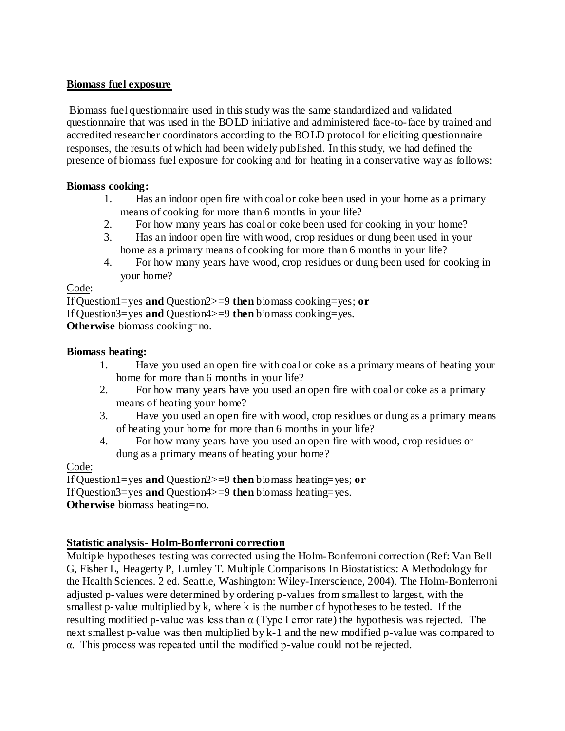### **Biomass fuel exposure**

Biomass fuel questionnaire used in this study was the same standardized and validated questionnaire that was used in the BOLD initiative and administered face-to-face by trained and accredited researcher coordinators according to the BOLD protocol for eliciting questionnaire responses, the results of which had been widely published. In this study, we had defined the presence of biomass fuel exposure for cooking and for heating in a conservative way as follows:

### **Biomass cooking:**

- 1. Has an indoor open fire with coal or coke been used in your home as a primary means of cooking for more than 6 months in your life?
- 2. For how many years has coal or coke been used for cooking in your home?
- 3. Has an indoor open fire with wood, crop residues or dung been used in your home as a primary means of cooking for more than 6 months in your life?
- 4. For how many years have wood, crop residues or dung been used for cooking in your home?

#### Code:

If Question1=yes **and** Question2>=9 **then** biomass cooking=yes; **or** If Question3=yes **and** Question4>=9 **then** biomass cooking=yes. **Otherwise** biomass cooking=no.

#### **Biomass heating:**

- 1. Have you used an open fire with coal or coke as a primary means of heating your home for more than 6 months in your life?
- 2. For how many years have you used an open fire with coal or coke as a primary means of heating your home?
- 3. Have you used an open fire with wood, crop residues or dung as a primary means of heating your home for more than 6 months in your life?
- 4. For how many years have you used an open fire with wood, crop residues or dung as a primary means of heating your home?

## Code:

If Question1=yes **and** Question2>=9 **then** biomass heating=yes; **or**

If Question3=yes **and** Question4>=9 **then** biomass heating=yes.

**Otherwise** biomass heating=no.

## **Statistic analysis- Holm-Bonferroni correction**

Multiple hypotheses testing was corrected using the Holm-Bonferroni correction (Ref: Van Bell G, Fisher L, Heagerty P, Lumley T. Multiple Comparisons In Biostatistics: A Methodology for the Health Sciences. 2 ed. Seattle, Washington: Wiley-Interscience, 2004). The Holm-Bonferroni adjusted p-values were determined by ordering p-values from smallest to largest, with the smallest p-value multiplied by k, where k is the number of hypotheses to be tested. If the resulting modified p-value was less than α (Type I error rate) the hypothesis was rejected. The next smallest p-value was then multiplied by k-1 and the new modified p-value was compared to α. This process was repeated until the modified p-value could not be rejected.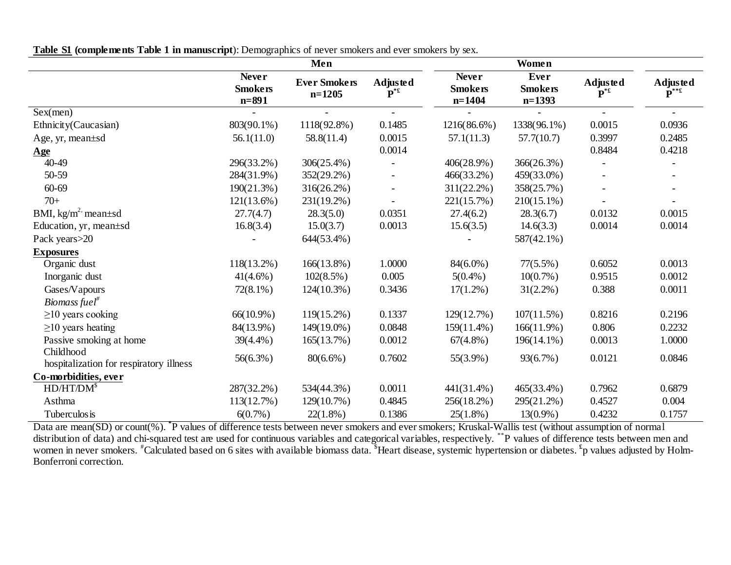|  | <b>Table S1 (complements Table 1 in manuscript)</b> : Demographics of never smokers and ever smokers by sex. |  |  |  |  |
|--|--------------------------------------------------------------------------------------------------------------|--|--|--|--|
|  |                                                                                                              |  |  |  |  |

|                                                      |                                             | Men                             |                            |                                            | Women                                     |                            |                                                                                                                                                    |
|------------------------------------------------------|---------------------------------------------|---------------------------------|----------------------------|--------------------------------------------|-------------------------------------------|----------------------------|----------------------------------------------------------------------------------------------------------------------------------------------------|
|                                                      | <b>Never</b><br><b>Smokers</b><br>$n = 891$ | <b>Ever Smokers</b><br>$n=1205$ | Adjusted<br>$\mathbf{P}^*$ | <b>Never</b><br><b>Smokers</b><br>$n=1404$ | <b>Ever</b><br><b>Smokers</b><br>$n=1393$ | Adjusted<br>$\mathbf{P}^*$ | $\begin{array}{c}\textbf{A} \textbf{d} \textbf{j} \textbf{u} \textbf{s} \textbf{t} \textbf{e} \textbf{d} \\ \textbf{P}^{** \textbf{f}}\end{array}$ |
| Sex(men)                                             |                                             | $\blacksquare$                  | $\blacksquare$             |                                            |                                           | $\overline{\phantom{0}}$   | $\blacksquare$                                                                                                                                     |
| Ethnicity(Caucasian)                                 | 803(90.1%)                                  | 1118(92.8%)                     | 0.1485                     | 1216(86.6%)                                | 1338(96.1%)                               | 0.0015                     | 0.0936                                                                                                                                             |
| Age, yr, mean±sd                                     | 56.1(11.0)                                  | 58.8(11.4)                      | 0.0015                     | 57.1(11.3)                                 | 57.7(10.7)                                | 0.3997                     | 0.2485                                                                                                                                             |
| <u>Age</u>                                           |                                             |                                 | 0.0014                     |                                            |                                           | 0.8484                     | 0.4218                                                                                                                                             |
| 40-49                                                | 296(33.2%)                                  | 306(25.4%)                      |                            | 406(28.9%)                                 | 366(26.3%)                                |                            |                                                                                                                                                    |
| 50-59                                                | 284(31.9%)                                  | 352(29.2%)                      | $\overline{\phantom{a}}$   | 466(33.2%)                                 | 459(33.0%)                                |                            |                                                                                                                                                    |
| 60-69                                                | $190(21.3\%)$                               | $316(26.2\%)$                   |                            | $311(22.2\%)$                              | 358(25.7%)                                |                            |                                                                                                                                                    |
| $70+$                                                | $121(13.6\%)$                               | 231(19.2%)                      |                            | 221(15.7%)                                 | $210(15.1\%)$                             |                            |                                                                                                                                                    |
| BMI, $kg/m^2$ mean $\pm$ sd                          | 27.7(4.7)                                   | 28.3(5.0)                       | 0.0351                     | 27.4(6.2)                                  | 28.3(6.7)                                 | 0.0132                     | 0.0015                                                                                                                                             |
| Education, yr, mean±sd                               | 16.8(3.4)                                   | 15.0(3.7)                       | 0.0013                     | 15.6(3.5)                                  | 14.6(3.3)                                 | 0.0014                     | 0.0014                                                                                                                                             |
| Pack years > 20                                      |                                             | 644(53.4%)                      |                            |                                            | 587(42.1%)                                |                            |                                                                                                                                                    |
| <b>Exposures</b>                                     |                                             |                                 |                            |                                            |                                           |                            |                                                                                                                                                    |
| Organic dust                                         | 118(13.2%)                                  | $166(13.8\%)$                   | 1.0000                     | $84(6.0\%)$                                | $77(5.5\%)$                               | 0.6052                     | 0.0013                                                                                                                                             |
| Inorganic dust                                       | $41(4.6\%)$                                 | $102(8.5\%)$                    | 0.005                      | $5(0.4\%)$                                 | $10(0.7\%)$                               | 0.9515                     | 0.0012                                                                                                                                             |
| Gases/Vapours                                        | $72(8.1\%)$                                 | $124(10.3\%)$                   | 0.3436                     | $17(1.2\%)$                                | $31(2.2\%)$                               | 0.388                      | 0.0011                                                                                                                                             |
| Biomass fuel <sup>#</sup>                            |                                             |                                 |                            |                                            |                                           |                            |                                                                                                                                                    |
| $\geq$ 10 years cooking                              | $66(10.9\%)$                                | $119(15.2\%)$                   | 0.1337                     | 129(12.7%)                                 | $107(11.5\%)$                             | 0.8216                     | 0.2196                                                                                                                                             |
| $\geq$ 10 years heating                              | 84(13.9%)                                   | 149(19.0%)                      | 0.0848                     | $159(11.4\%)$                              | $166(11.9\%)$                             | 0.806                      | 0.2232                                                                                                                                             |
| Passive smoking at home                              | 39(4.4%)                                    | 165(13.7%)                      | 0.0012                     | $67(4.8\%)$                                | 196(14.1%)                                | 0.0013                     | 1.0000                                                                                                                                             |
| Childhood<br>hospitalization for respiratory illness | $56(6.3\%)$                                 | $80(6.6\%)$                     | 0.7602                     | $55(3.9\%)$                                | 93(6.7%)                                  | 0.0121                     | 0.0846                                                                                                                                             |
| Co-morbidities, ever                                 |                                             |                                 |                            |                                            |                                           |                            |                                                                                                                                                    |
| $HD/HT/DM^s$                                         | 287(32.2%)                                  | 534(44.3%)                      | 0.0011                     | $441(31.4\%)$                              | 465(33.4%)                                | 0.7962                     | 0.6879                                                                                                                                             |
| Asthma                                               | 113(12.7%)                                  | 129(10.7%)                      | 0.4845                     | 256(18.2%)                                 | 295(21.2%)                                | 0.4527                     | 0.004                                                                                                                                              |
| Tuberculos is                                        | $6(0.7\%)$                                  | $22(1.8\%)$                     | 0.1386                     | $25(1.8\%)$                                | $13(0.9\%)$                               | 0.4232                     | 0.1757                                                                                                                                             |

Data are mean(SD) or count(%). <sup>\*</sup>P values of difference tests between never smokers and ever smokers; Kruskal-Wallis test (without assumption of normal distribution of data) and chi-squared test are used for continuous variables and categorical variables, respectively. \*\*P values of difference tests between men and women in never smokers. <sup>#</sup>Calculated based on 6 sites with available biomass data. <sup>\$</sup>Heart disease, systemic hypertension or diabetes. <sup>£</sup>p values adjusted by Holm-Bonferroni correction.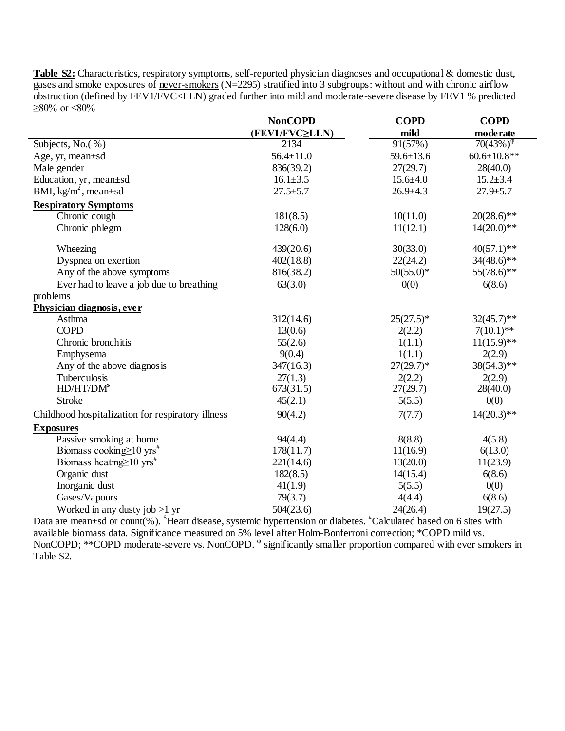**Table S2:** Characteristics, respiratory symptoms, self-reported physician diagnoses and occupational & domestic dust, gases and smoke exposures of never-smokers (N=2295) stratified into 3 subgroups: without and with chronic airflow obstruction (defined by FEV1/FVC<LLN) graded further into mild and moderate-severe disease by FEV1 % predicted  $>80\%$  or  $< 80\%$ 

|                                                   | <b>NonCOPD</b>  | <b>COPD</b>     | <b>COPD</b>                             |
|---------------------------------------------------|-----------------|-----------------|-----------------------------------------|
|                                                   | (FEV1/FVC≥LLN)  | mild            | mode rate                               |
| Subjects, No. $(\%)$                              | 2134            | 91(57%)         | $70(43\%)$ <sup><math>\phi</math></sup> |
| Age, yr, mean±sd                                  | $56.4 \pm 11.0$ | $59.6 \pm 13.6$ | $60.6 \pm 10.8$ **                      |
| Male gender                                       | 836(39.2)       | 27(29.7)        | 28(40.0)                                |
| Education, yr, mean±sd                            | $16.1 \pm 3.5$  | $15.6 \pm 4.0$  | $15.2 \pm 3.4$                          |
| BMI, $kg/m^2$ , mean $\pm sd$                     | $27.5 + 5.7$    | $26.9 \pm 4.3$  | $27.9 \pm 5.7$                          |
| <b>Respiratory Symptoms</b>                       |                 |                 |                                         |
| Chronic cough                                     | 181(8.5)        | 10(11.0)        | $20(28.6)$ **                           |
| Chronic phlegm                                    | 128(6.0)        | 11(12.1)        | $14(20.0)**$                            |
| Wheezing                                          | 439(20.6)       | 30(33.0)        | $40(57.1)**$                            |
| Dyspnea on exertion                               | 402(18.8)       | 22(24.2)        | $34(48.6)$ **                           |
| Any of the above symptoms                         | 816(38.2)       | $50(55.0)$ *    | $55(78.6)$ **                           |
| Ever had to leave a job due to breathing          | 63(3.0)         | 0(0)            | 6(8.6)                                  |
| problems                                          |                 |                 |                                         |
| Physician diagnosis, ever                         |                 |                 |                                         |
| Asthma                                            | 312(14.6)       | $25(27.5)^*$    | $32(45.7)$ **                           |
| <b>COPD</b>                                       | 13(0.6)         | 2(2.2)          | $7(10.1)$ **                            |
| Chronic bronchitis                                | 55(2.6)         | 1(1.1)          | $11(15.9)**$                            |
| Emphysema                                         | 9(0.4)          | 1(1.1)          | 2(2.9)                                  |
| Any of the above diagnosis                        | 347(16.3)       | $27(29.7)^*$    | $38(54.3)$ **                           |
| Tuberculosis                                      | 27(1.3)         | 2(2.2)          | 2(2.9)                                  |
| $HD/HT/DM^s$                                      | 673(31.5)       | 27(29.7)        | 28(40.0)                                |
| <b>Stroke</b>                                     | 45(2.1)         | 5(5.5)          | 0(0)                                    |
| Childhood hospitalization for respiratory illness | 90(4.2)         | 7(7.7)          | $14(20.3)**$                            |
| <b>Exposures</b>                                  |                 |                 |                                         |
| Passive smoking at home                           | 94(4.4)         | 8(8.8)          | 4(5.8)                                  |
| Biomass cooking $\geq 10$ yrs <sup>#</sup>        | 178(11.7)       | 11(16.9)        | 6(13.0)                                 |
| Biomass heating $\geq 10$ yrs <sup>#</sup>        | 221(14.6)       | 13(20.0)        | 11(23.9)                                |
| Organic dust                                      | 182(8.5)        | 14(15.4)        | 6(8.6)                                  |
| Inorganic dust                                    | 41(1.9)         | 5(5.5)          | 0(0)                                    |
| Gases/Vapours                                     | 79(3.7)         | 4(4.4)          | 6(8.6)                                  |
| Worked in any dusty job $>1$ yr                   | 504(23.6)       | 24(26.4)        | 19(27.5)                                |

Data are mean±sd or count(%). <sup>\$</sup>Heart disease, systemic hypertension or diabetes. <sup>#</sup>Calculated based on 6 sites with available biomass data. Significance measured on 5% level after Holm-Bonferroni correction; \*COPD mild vs. NonCOPD; \*\*COPD moderate-severe vs. NonCOPD.  $\phi$  significantly smaller proportion compared with ever smokers in Table S2.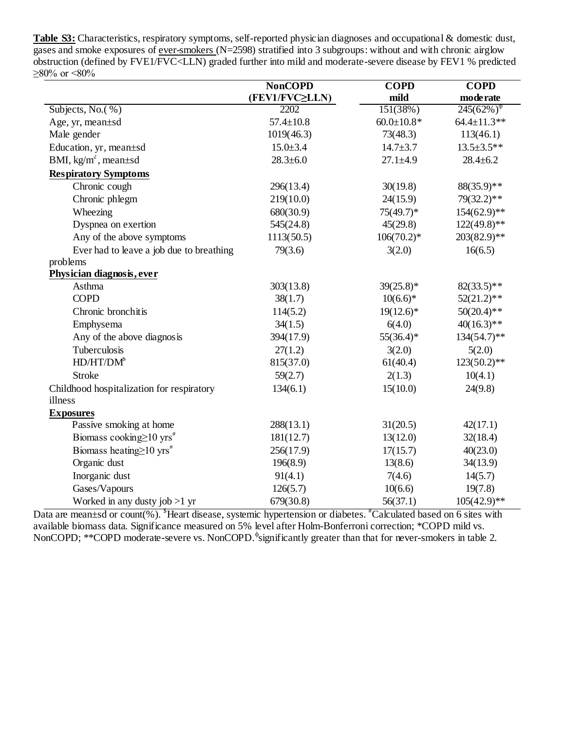**Table S3:** Characteristics, respiratory symptoms, self-reported physician diagnoses and occupational & domestic dust, gases and smoke exposures of ever-smokers (N=2598) stratified into 3 subgroups: without and with chronic airglow obstruction (defined by FVE1/FVC<LLN) graded further into mild and moderate-severe disease by FEV1 % predicted  $\geq 80\%$  or  $\leq 80\%$ 

|                                            | <b>NonCOPD</b>  | <b>COPD</b>      | <b>COPD</b>                              |
|--------------------------------------------|-----------------|------------------|------------------------------------------|
|                                            | (FEV1/FVC≥LLN)  | mild             | mode rate                                |
| Subjects, No. $(\%)$                       | 2202            | 151(38%)         | $245(62\%)$ <sup><math>\Phi</math></sup> |
| Age, yr, mean±sd                           | $57.4 \pm 10.8$ | $60.0 \pm 10.8*$ | $64.4 \pm 11.3**$                        |
| Male gender                                | 1019(46.3)      | 73(48.3)         | 113(46.1)                                |
| Education, yr, mean±sd                     | $15.0 \pm 3.4$  | $14.7 \pm 3.7$   | $13.5 \pm 3.5$ **                        |
| BMI, $kg/m^2$ , mean $\pm sd$              | $28.3 \pm 6.0$  | $27.1 \pm 4.9$   | $28.4 \pm 6.2$                           |
| <b>Respiratory Symptoms</b>                |                 |                  |                                          |
| Chronic cough                              | 296(13.4)       | 30(19.8)         | 88(35.9)**                               |
| Chronic phlegm                             | 219(10.0)       | 24(15.9)         | $79(32.2)**$                             |
| Wheezing                                   | 680(30.9)       | $75(49.7)^*$     | $154(62.9)**$                            |
| Dyspnea on exertion                        | 545(24.8)       | 45(29.8)         | $122(49.8)$ **                           |
| Any of the above symptoms                  | 1113(50.5)      | $106(70.2)$ *    | $203(82.9)$ **                           |
| Ever had to leave a job due to breathing   | 79(3.6)         | 3(2.0)           | 16(6.5)                                  |
| problems                                   |                 |                  |                                          |
| Physician diagnosis, ever                  |                 |                  |                                          |
| Asthma                                     | 303(13.8)       | $39(25.8)*$      | $82(33.5)$ **                            |
| <b>COPD</b>                                | 38(1.7)         | $10(6.6)*$       | $52(21.2)$ **                            |
| Chronic bronchitis                         | 114(5.2)        | $19(12.6)^*$     | $50(20.4)$ **                            |
| Emphysema                                  | 34(1.5)         | 6(4.0)           | $40(16.3)**$                             |
| Any of the above diagnosis                 | 394(17.9)       | $55(36.4)$ *     | $134(54.7)$ **                           |
| Tuberculosis                               | 27(1.2)         | 3(2.0)           | 5(2.0)                                   |
| $HD/HT/DM^s$                               | 815(37.0)       | 61(40.4)         | $123(50.2)$ **                           |
| <b>Stroke</b>                              | 59(2.7)         | 2(1.3)           | 10(4.1)                                  |
| Childhood hospitalization for respiratory  | 134(6.1)        | 15(10.0)         | 24(9.8)                                  |
| illness                                    |                 |                  |                                          |
| <b>Exposures</b>                           |                 |                  |                                          |
| Passive smoking at home                    | 288(13.1)       | 31(20.5)         | 42(17.1)                                 |
| Biomass cooking $\geq 10$ yrs <sup>#</sup> | 181(12.7)       | 13(12.0)         | 32(18.4)                                 |
| Biomass heating $\geq 10$ yrs <sup>#</sup> | 256(17.9)       | 17(15.7)         | 40(23.0)                                 |
| Organic dust                               | 196(8.9)        | 13(8.6)          | 34(13.9)                                 |
| Inorganic dust                             | 91(4.1)         | 7(4.6)           | 14(5.7)                                  |
| Gases/Vapours                              | 126(5.7)        | 10(6.6)          | 19(7.8)                                  |
| Worked in any dusty job $>1$ yr            | 679(30.8)       | 56(37.1)         | $105(42.9)$ **                           |

Data are mean±sd or count(%). <sup>\$</sup>Heart disease, systemic hypertension or diabetes. <sup>#</sup>Calculated based on 6 sites with available biomass data. Significance measured on 5% level after Holm-Bonferroni correction; \*COPD mild vs. NonCOPD; \*\*COPD moderate-severe vs. NonCOPD.<sup> $\phi$ </sup>significantly greater than that for never-smokers in table 2.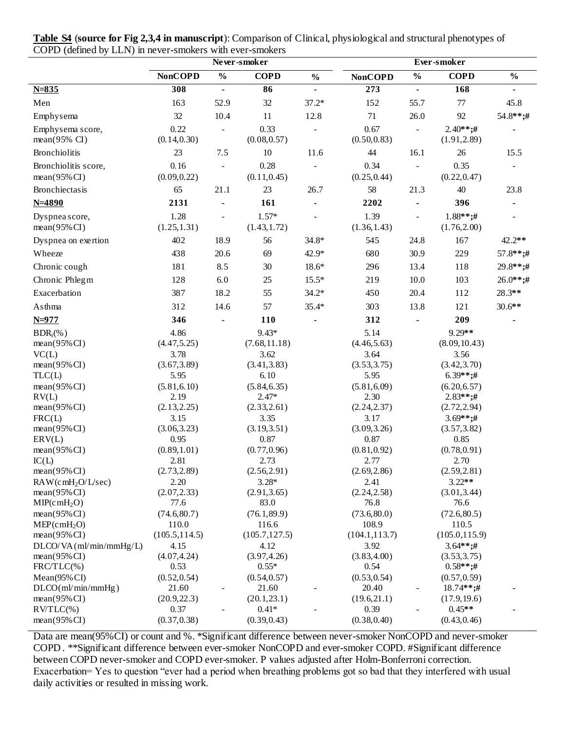|                                             |                      | Never-smoker             |                         |                          |                      |                          |                            |                |
|---------------------------------------------|----------------------|--------------------------|-------------------------|--------------------------|----------------------|--------------------------|----------------------------|----------------|
|                                             | <b>NonCOPD</b>       | $\frac{0}{0}$            | <b>COPD</b>             | $\frac{0}{0}$            | <b>NonCOPD</b>       | $\frac{0}{0}$            | <b>COPD</b>                | $\frac{0}{0}$  |
| $N = 835$                                   | 308                  | $\blacksquare$           | 86                      | $\overline{\phantom{a}}$ | $\overline{273}$     | $\blacksquare$           | 168                        | $\blacksquare$ |
| Men                                         | 163                  | 52.9                     | 32                      | $37.2*$                  | 152                  | 55.7                     | 77                         | 45.8           |
| Emphysema                                   | 32                   | 10.4                     | 11                      | 12.8                     | 71                   | 26.0                     | 92                         | 54.8**;#       |
| Emphysema score,<br>$mean(95\% \text{ CI})$ | 0.22<br>(0.14, 0.30) | $\overline{\phantom{a}}$ | 0.33<br>(0.08, 0.57)    | $\overline{\phantom{a}}$ | 0.67<br>(0.50, 0.83) | $\mathbf{r}$             | $2.40**;#$<br>(1.91, 2.89) |                |
| <b>Bronchiolitis</b>                        | 23                   | 7.5                      | $10\,$                  | 11.6                     | $44$                 | 16.1                     | 26                         | 15.5           |
| Bronchiolitis score,                        | 0.16                 |                          | 0.28                    |                          | 0.34                 | $\overline{a}$           | 0.35                       |                |
| $mean(95\% CI)$                             | (0.09, 0.22)         |                          | (0.11, 0.45)            |                          | (0.25, 0.44)         |                          | (0.22, 0.47)               |                |
| Bronchiectasis                              | 65                   | 21.1                     | 23                      | 26.7                     | 58                   | 21.3                     | 40                         | 23.8           |
| $N = 4890$                                  | 2131                 |                          | 161                     |                          | 2202                 | $\blacksquare$           | 396                        |                |
|                                             | 1.28                 |                          | $1.57*$                 |                          | 1.39                 |                          | $1.88**;#$                 |                |
| Dyspnea score,<br>$mean(95\% CI)$           | (1.25, 1.31)         | $\blacksquare$           | (1.43, 1.72)            |                          | (1.36, 1.43)         | $\overline{\phantom{a}}$ | (1.76, 2.00)               |                |
| Dyspnea on exertion                         | 402                  | 18.9                     | 56                      | $34.8*$                  | 545                  | 24.8                     | 167                        | 42.2**         |
| Wheeze                                      | 438                  | 20.6                     | 69                      | 42.9*                    | 680                  | 30.9                     | 229                        | $57.8***;#$    |
| Chronic cough                               | 181                  | 8.5                      | 30                      | $18.6*$                  | 296                  | 13.4                     | 118                        | $29.8**;#$     |
| Chronic Phlegm                              | 128                  | 6.0                      | 25                      | $15.5*$                  | 219                  | 10.0                     | 103                        | $26.0**;#$     |
| Exacerbation                                | 387                  | 18.2                     | 55                      | $34.2*$                  | 450                  | 20.4                     | 112                        | 28.3**         |
| Asthma                                      | 312                  | 14.6                     | 57                      | $35.4*$                  | 303                  | 13.8                     | 121                        | $30.6**$       |
| $N = 977$                                   | 346                  |                          | 110                     |                          | 312                  |                          | 209                        |                |
| BDR <sub>i</sub> (% )                       | 4.86                 |                          | $9.43*$                 |                          | 5.14                 |                          | 9.29**                     |                |
| $mean(95\% CI)$                             | (4.47, 5.25)         |                          | (7.68, 11.18)           |                          | (4.46, 5.63)         |                          | (8.09, 10.43)              |                |
| VC(L)                                       | 3.78                 |                          | 3.62                    |                          | 3.64                 |                          | 3.56                       |                |
| $mean(95\% CI)$                             | (3.67, 3.89)         |                          | (3.41, 3.83)            |                          | (3.53, 3.75)         |                          | (3.42, 3.70)               |                |
| TLC(L)                                      | 5.95                 |                          | 6.10                    |                          | 5.95                 |                          | $6.39**;#$                 |                |
| $mean(95\% CI)$                             | (5.81, 6.10)         |                          | (5.84, 6.35)            |                          | (5.81, 6.09)         |                          | (6.20, 6.57)               |                |
| RV(L)                                       | 2.19                 |                          | $2.47*$                 |                          | 2.30                 |                          | $2.83**;#$                 |                |
| $mean(95\% CI)$                             | (2.13, 2.25)         |                          | (2.33, 2.61)            |                          | (2.24, 2.37)         |                          | (2.72, 2.94)               |                |
| FRC(L)                                      | 3.15                 |                          | 3.35                    |                          | 3.17                 |                          | $3.69**;#$                 |                |
| $mean(95\% CI)$<br>ERV(L)                   | (3.06, 3.23)<br>0.95 |                          | (3.19, 3.51)<br>0.87    |                          | (3.09, 3.26)<br>0.87 |                          | (3.57, 3.82)<br>0.85       |                |
| $mean(95\% CI)$                             | (0.89, 1.01)         |                          | (0.77, 0.96)            |                          | (0.81, 0.92)         |                          | (0.78, 0.91)               |                |
| IC(L)                                       | 2.81                 |                          | 2.73                    |                          | 2.77                 |                          | 2.70                       |                |
| mean(95%CI)                                 | (2.73, 2.89)         |                          | (2.56, 2.91)            |                          | (2.69, 2.86)         |                          | (2.59, 2.81)               |                |
| RAW(cmH <sub>2</sub> O/L/sec)               | 2.20                 |                          | $3.28*$                 |                          | 2.41                 |                          | $3.22**$                   |                |
| $mean(95\% CI)$                             | (2.07, 2.33)         |                          | (2.91, 3.65)            |                          | (2.24, 2.58)         |                          | (3.01, 3.44)               |                |
| MIP(cmH <sub>2</sub> O)                     | 77.6                 |                          | 83.0                    |                          | 76.8                 |                          | 76.6                       |                |
| $mean(95\% CI)$                             | (74.6, 80.7)         |                          | (76.1, 89.9)            |                          | (73.6, 80.0)         |                          | (72.6, 80.5)               |                |
| $MEP$ (cmH <sub>2</sub> O)                  | 110.0                |                          | 116.6                   |                          | 108.9                |                          | 110.5                      |                |
| $mean(95\% CI)$                             | (105.5, 114.5)       |                          | (105.7, 127.5)          |                          | (104.1, 113.7)       |                          | (105.0, 115.9)             |                |
| $DLCO/VA$ (ml/min/mmHg/L)                   | 4.15                 |                          | 4.12                    |                          | 3.92                 |                          | $3.64**;#$                 |                |
| $mean(95\% CI)$                             | (4.07, 4.24)         |                          | (3.97, 4.26)            |                          | (3.83, 4.00)         |                          | (3.53, 3.75)               |                |
| FRC/TLC(%)                                  | 0.53                 |                          | $0.55*$                 |                          | 0.54                 |                          | $0.58**;#$                 |                |
| $Mean(95\% CI)$                             | (0.52, 0.54)         |                          | (0.54, 0.57)            |                          | (0.53, 0.54)         |                          | (0.57, 0.59)               |                |
| D <sub>LO</sub> (ml/min/mmHg)               | 21.60                | $\overline{\phantom{a}}$ | 21.60                   |                          | 20.40                | $\blacksquare$           | $18.74**;#$                |                |
| $mean(95\% CI)$                             | (20.9, 22.3)         |                          | (20.1, 23.1)            |                          | (19.6, 21.1)         |                          | (17.9, 19.6)               |                |
| $RVTLC$ (%)<br>$mean(95\% CI)$              | 0.37<br>(0.37, 0.38) |                          | $0.41*$<br>(0.39, 0.43) |                          | 0.39<br>(0.38, 0.40) | $\overline{\phantom{a}}$ | $0.45**$<br>(0.43, 0.46)   |                |

**Table S4** (**source for Fig 2,3,4 in manuscript**): Comparison of Clinical, physiological and structural phenotypes of COPD (defined by LLN) in never-smokers with ever-smokers

Data are mean(95%CI) or count and %. \*Significant difference between never-smoker NonCOPD and never-smoker COPD . \*\*Significant difference between ever-smoker NonCOPD and ever-smoker COPD. #Significant difference between COPD never-smoker and COPD ever-smoker. P values adjusted after Holm-Bonferroni correction. Exacerbation= Yes to question "ever had a period when breathing problems got so bad that they interfered with usual daily activities or resulted in missing work.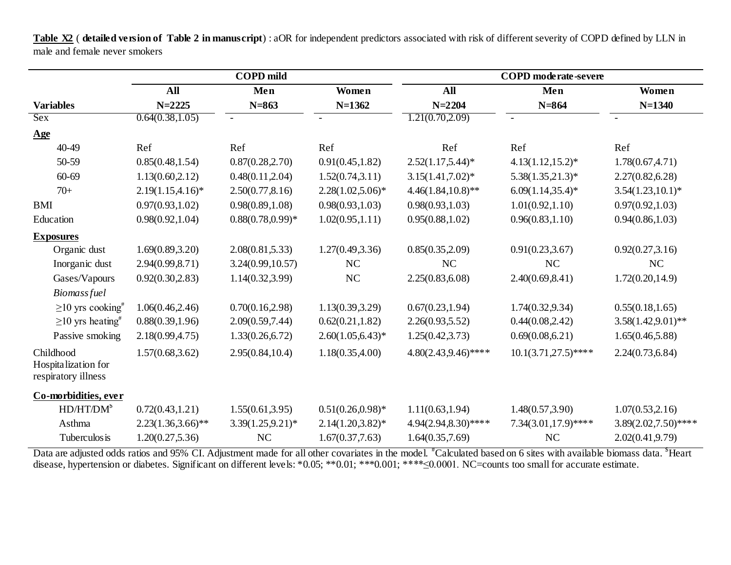**Table X2** ( **detailed version of Table 2 in manuscript**) : aOR for independent predictors associated with risk of different severity of COPD defined by LLN in male and female never smokers

|                                                         |                      | <b>COPD</b> mild     |                          | <b>COPD</b> moderate-severe |                        |                        |  |  |  |
|---------------------------------------------------------|----------------------|----------------------|--------------------------|-----------------------------|------------------------|------------------------|--|--|--|
|                                                         | All                  | Men                  | Women                    | All                         | Men                    | Women                  |  |  |  |
| <b>Variables</b>                                        | $N = 2225$           | $N = 863$            | $N=1362$                 | $N = 2204$                  | $N = 864$              | $N = 1340$             |  |  |  |
| <b>Sex</b>                                              | 0.64(0.38, 1.05)     |                      | $\overline{\phantom{a}}$ | 1.21(0.70, 2.09)            | $\sim$                 |                        |  |  |  |
| $\mathbf{Age}$                                          |                      |                      |                          |                             |                        |                        |  |  |  |
| 40-49                                                   | Ref                  | Ref                  | Ref                      | Ref                         | Ref                    | Ref                    |  |  |  |
| 50-59                                                   | 0.85(0.48, 1.54)     | 0.87(0.28, 2.70)     | 0.91(0.45, 1.82)         | $2.52(1.17,5.44)*$          | $4.13(1.12,15.2)^*$    | 1.78(0.67, 4.71)       |  |  |  |
| 60-69                                                   | 1.13(0.60, 2.12)     | 0.48(0.11, 2.04)     | 1.52(0.74, 3.11)         | $3.15(1.41, 7.02)^{*}$      | $5.38(1.35,21.3)*$     | 2.27(0.82, 6.28)       |  |  |  |
| $70+$                                                   | $2.19(1.15, 4.16)^*$ | 2.50(0.77, 8.16)     | $2.28(1.02,5.06)^*$      | $4.46(1.84, 10.8)$ **       | $6.09(1.14, 35.4)*$    | $3.54(1.23,10.1)^*$    |  |  |  |
| <b>BMI</b>                                              | 0.97(0.93, 1.02)     | 0.98(0.89, 1.08)     | 0.98(0.93, 1.03)         | 0.98(0.93, 1.03)            | 1.01(0.92, 1.10)       | 0.97(0.92, 1.03)       |  |  |  |
| Education                                               | 0.98(0.92, 1.04)     | $0.88(0.78, 0.99)$ * | 1.02(0.95, 1.11)         | 0.95(0.88, 1.02)            | 0.96(0.83, 1.10)       | 0.94(0.86, 1.03)       |  |  |  |
| <b>Exposures</b>                                        |                      |                      |                          |                             |                        |                        |  |  |  |
| Organic dust                                            | 1.69(0.89, 3.20)     | 2.08(0.81, 5.33)     | 1.27(0.49, 3.36)         | 0.85(0.35, 2.09)            | 0.91(0.23, 3.67)       | 0.92(0.27, 3.16)       |  |  |  |
| Inorganic dust                                          | 2.94(0.99, 8.71)     | 3.24(0.99, 10.57)    | NC                       | <b>NC</b>                   | NC                     | NC                     |  |  |  |
| Gases/Vapours                                           | 0.92(0.30, 2.83)     | 1.14(0.32, 3.99)     | $\rm NC$                 | 2.25(0.83, 6.08)            | 2.40(0.69, 8.41)       | 1.72(0.20, 14.9)       |  |  |  |
| <b>Biomassfuel</b>                                      |                      |                      |                          |                             |                        |                        |  |  |  |
| $\geq$ 10 yrs cooking <sup>#</sup>                      | 1.06(0.46, 2.46)     | 0.70(0.16, 2.98)     | 1.13(0.39, 3.29)         | 0.67(0.23, 1.94)            | 1.74(0.32, 9.34)       | 0.55(0.18, 1.65)       |  |  |  |
| $\geq$ 10 yrs heating <sup>#</sup>                      | 0.88(0.39, 1.96)     | 2.09(0.59,7.44)      | 0.62(0.21, 1.82)         | 2.26(0.93, 5.52)            | 0.44(0.08, 2.42)       | $3.58(1.42, 9.01)$ **  |  |  |  |
| Passive smoking                                         | 2.18(0.99, 4.75)     | 1.33(0.26, 6.72)     | $2.60(1.05, 6.43)^*$     | 1.25(0.42, 3.73)            | 0.69(0.08, 6.21)       | 1.65(0.46, 5.88)       |  |  |  |
| Childhood<br>Hospitalization for<br>respiratory illness | 1.57(0.68, 3.62)     | 2.95(0.84, 10.4)     | 1.18(0.35, 4.00)         | $4.80(2.43, 9.46)$ ****     | $10.1(3.71,27.5)$ **** | 2.24(0.73, 6.84)       |  |  |  |
| Co-morbidities, ever                                    |                      |                      |                          |                             |                        |                        |  |  |  |
| HD/HT/DM <sup>\$</sup>                                  | 0.72(0.43, 1.21)     | 1.55(0.61, 3.95)     | $0.51(0.26, 0.98)$ *     | 1.11(0.63, 1.94)            | 1.48(0.57, 3.90)       | 1.07(0.53, 2.16)       |  |  |  |
| Asthma                                                  | $2.23(1.36,3.66)$ ** | $3.39(1.25, 9.21)^*$ | $2.14(1.20, 3.82)^*$     | 4.94(2.94,8.30)****         | $7.34(3.01,17.9)$ **** | $3.89(2.02,7.50)$ **** |  |  |  |
| Tuberculos is                                           | 1.20(0.27, 5.36)     | NC                   | 1.67(0.37,7.63)          | 1.64(0.35,7.69)             | NC                     | 2.02(0.41, 9.79)       |  |  |  |

Data are adjusted odds ratios and 95% CI. Adjustment made for all other covariates in the model. <sup>#</sup>Calculated based on 6 sites with available biomass data. <sup>\$</sup>Heart disease, hypertension or diabetes. Significant on different levels: \*0.05; \*\*0.01; \*\*\*\*≤0.0001; \*\*\*\*≤0.0001. NC=counts too small for accurate estimate.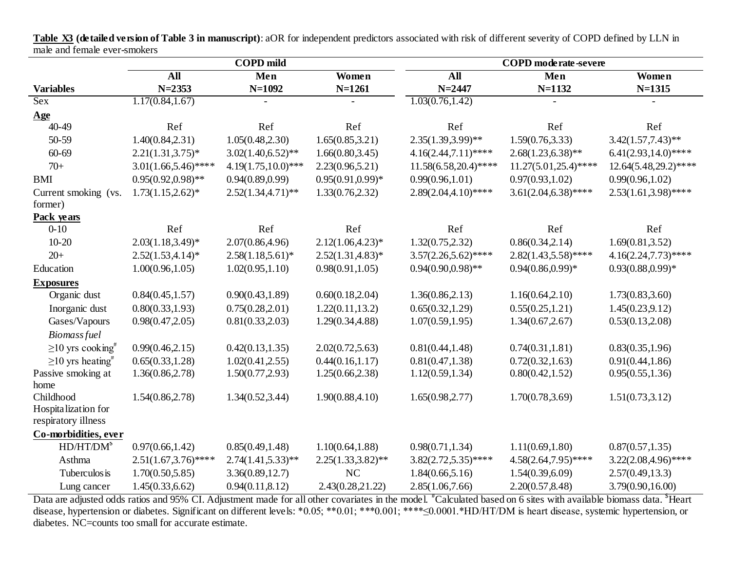**COPD mild COPD moderate-severe All Men Women All Men Women Variables N=2353 N=1092 N=1261 N=2447 N=1132 N=1315** Sex  $1.17(0.84, 1.67)$   $1.03(0.76, 1.42)$   $-$ **Age** 40-49 Ref Ref Ref Ref Ref Ref 50-59 1.40(0.84,2.31) 1.05(0.48,2.30) 1.65(0.85,3.21) 2.35(1.39,3.99)\*\* 1.59(0.76,3.33) 3.42(1.57,7.43)\*\* 60-69 2.21(1.31,3.75)\* 3.02(1.40,6.52)\*\* 1.66(0.80,3.45) 4.16(2.44,7.11)\*\*\*\* 2.68(1.23,6.38)\*\* 6.41(2.93,14.0)\*\*\*\* 70+ 3.01(1.66,5.46)\*\*\*\* 4.19(1.75,10.0)\*\*\* 2.23(0.96,5.21) 11.58(6.58,20.4)\*\*\*\* 11.27(5.01,25.4)\*\*\*\* 12.64(5.48,29.2)\*\*\*\* BMI 0.95(0.92,0.98)\*\* 0.94(0.89,0.99) 0.95(0.91,0.99)\* 0.99(0.96,1.01) 0.97(0.93,1.02) 0.99(0.96,1.02) Current smoking (vs.  $1.73(1.15.2.62)^*$ ) former)  $2.52(1.34,4.71)*$   $1.33(0.76,2.32)$   $2.89(2.04,4.10)****$   $3.61(2.04,6.38)****$   $2.53(1.61,3.98)***$ **Pack years** 0-10 Ref Ref Ref Ref Ref Ref 10-20 2.03(1.18,3.49)\* 2.07(0.86,4.96) 2.12(1.06,4.23)\* 1.32(0.75,2.32) 0.86(0.34,2.14) 1.69(0.81,3.52) 20+ 2.52(1.53,4.14)\* 2.58(1.18,5.61)\* 2.52(1.31,4.83)\* 3.57(2.26,5.62)\*\*\*\* 2.82(1.43,5.58)\*\*\*\* 4.16(2.24,7.73)\*\*\*\* Education 1.00(0.96,1.05) 1.02(0.95,1.10) 0.98(0.91,1.05) 0.94(0.90,0.98)\*\* 0.94(0.86,0.99)\* 0.93(0.88,0.99)\* **Exposures** Organic dust 0.84(0.45,1.57) 0.90(0.43,1.89) 0.60(0.18,2.04) 1.36(0.86,2.13) 1.16(0.64,2.10) 1.73(0.83,3.60) Inorganic dust 0.80(0.33,1.93) 0.75(0.28,2.01) 1.22(0.11,13.2) 0.65(0.32,1.29) 0.55(0.25,1.21) 1.45(0.23,9.12) Gases/Vapours 0.98(0.47,2.05) 0.81(0.33,2.03) 1.29(0.34,4.88) 1.07(0.59,1.95) 1.34(0.67,2.67) 0.53(0.13,2.08) *Biomass fuel*  $\geq$ 10 yrs cooking<sup>#</sup> 0.99(0.46,2.15) 0.42(0.13,1.35) 2.02(0.72,5.63) 0.81(0.44,1.48) 0.74(0.31,1.81) 0.83(0.35,1.96)  $\geq$ 10 yrs heating<sup>#</sup> 0.65(0.33,1.28) 1.02(0.41,2.55) 0.44(0.16,1.17) 0.81(0.47,1.38) 0.72(0.32,1.63) 0.91(0.44,1.86) Passive smoking at home 1.36(0.86,2.78) 1.50(0.77,2.93) 1.25(0.66,2.38) 1.12(0.59,1.34) 0.80(0.42,1.52) 0.95(0.55,1.36) Childhood Hospitalization for respiratory illness 1.54(0.86,2.78) 1.34(0.52,3.44) 1.90(0.88,4.10) 1.65(0.98,2.77) 1.70(0.78,3.69) 1.51(0.73,3.12) **Co-morbidities, ever**  $HD/HT/DM^s$ 0.97(0.66,1.42) 0.85(0.49,1.48) 1.10(0.64,1.88) 0.98(0.71,1.34) 1.11(0.69,1.80) 0.87(0.57,1.35) Asthma 2.51(1.67,3.76)\*\*\*\* 2.74(1.41,5.33)\*\* 2.25(1.33,3.82)\*\* 3.82(2.72,5.35)\*\*\*\* 4.58(2.64,7.95)\*\*\*\* 3.22(2.08,4.96)\*\*\*\* Tuberculosis 1.70(0.50,5.85) 3.36(0.89,12.7) NC 1.84(0.66,5.16) 1.54(0.39,6.09) 2.57(0.49,13.3) Lung cancer 1.45(0.33,6.62) 0.94(0.11,8.12) 2.43(0.28,21.22) 2.85(1.06,7.66) 2.20(0.57,8.48) 3.79(0.90,16.00)

**Table X3 (detailed version of Table 3 in manuscript)**: aOR for independent predictors associated with risk of different severity of COPD defined by LLN in male and female ever-smokers

Data are adjusted odds ratios and 95% CI. Adjustment made for all other covariates in the model. <sup>#</sup>Calculated based on 6 sites with available biomass data. <sup>\$</sup>Heart disease, hypertension or diabetes. Significant on different levels: \*0.05; \*\*0.01; \*\*\*\*≤0.0001; \*\*\*\*≤0.0001.\*HD/HT/DM is heart disease, systemic hypertension, or diabetes. NC=counts too small for accurate estimate.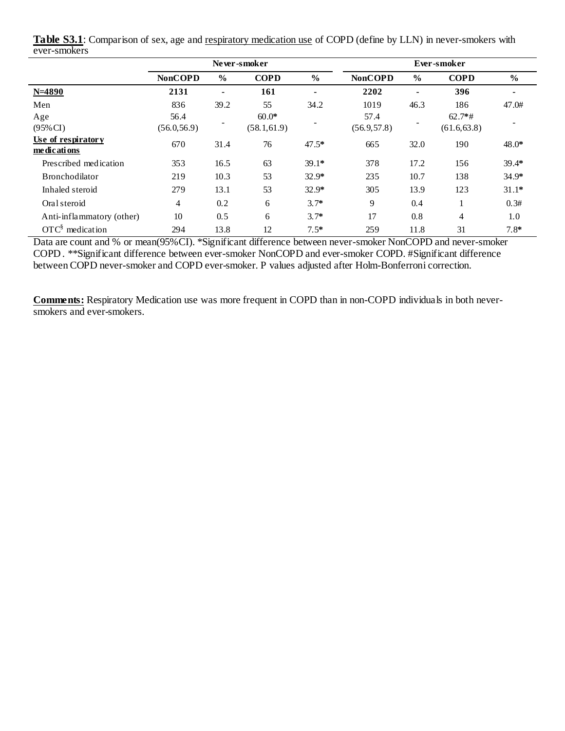|                                   |                |                | Never-smoker |                | Ever-smoker    |               |              |               |  |
|-----------------------------------|----------------|----------------|--------------|----------------|----------------|---------------|--------------|---------------|--|
|                                   | <b>NonCOPD</b> | $\frac{0}{0}$  | <b>COPD</b>  | $\frac{6}{9}$  | <b>NonCOPD</b> | $\frac{0}{0}$ | <b>COPD</b>  | $\frac{6}{6}$ |  |
| $N = 4890$                        | 2131           | $\blacksquare$ | 161          | $\blacksquare$ | 2202           |               | 396          |               |  |
| Men                               | 836            | 39.2           | 55           | 34.2           | 1019           | 46.3          | 186          | 47.0#         |  |
| Age                               | 56.4           |                | $60.0*$      |                | 57.4           |               | $62.7*$ #    |               |  |
| $(95\% \text{ CI})$               | (56.0, 56.9)   |                | (58.1, 61.9) |                | (56.9, 57.8)   |               | (61.6, 63.8) |               |  |
| Use of respiratory<br>medications | 670            | 31.4           | 76           | $47.5*$        | 665            | 32.0          | 190          | $48.0*$       |  |
| Prescribed medication             | 353            | 16.5           | 63           | $39.1*$        | 378            | 17.2          | 156          | $39.4*$       |  |
| <b>Bronchodilator</b>             | 219            | 10.3           | 53           | $32.9*$        | 235            | 10.7          | 138          | $34.9*$       |  |
| Inhaled steroid                   | 279            | 13.1           | 53           | $32.9*$        | 305            | 13.9          | 123          | $31.1*$       |  |
| Oral steroid                      | 4              | 0.2            | 6            | $3.7*$         | 9              | 0.4           |              | 0.3#          |  |
| Anti-inflammatory (other)         | 10             | 0.5            | 6            | $3.7*$         | 17             | 0.8           | 4            | 1.0           |  |
| $\text{OTC}^{\S}$ medication      | 294            | 13.8           | 12           | $7.5*$         | 259            | 11.8          | 31           | $7.8*$        |  |

**Table S3.1**: Comparison of sex, age and respiratory medication use of COPD (define by LLN) in never-smokers with ever-smokers

Data are count and % or mean(95%CI). \*Significant difference between never-smoker NonCOPD and never-smoker COPD . \*\*Significant difference between ever-smoker NonCOPD and ever-smoker COPD. #Significant difference between COPD never-smoker and COPD ever-smoker. P values adjusted after Holm-Bonferroni correction.

**Comments:** Respiratory Medication use was more frequent in COPD than in non-COPD individuals in both neversmokers and ever-smokers.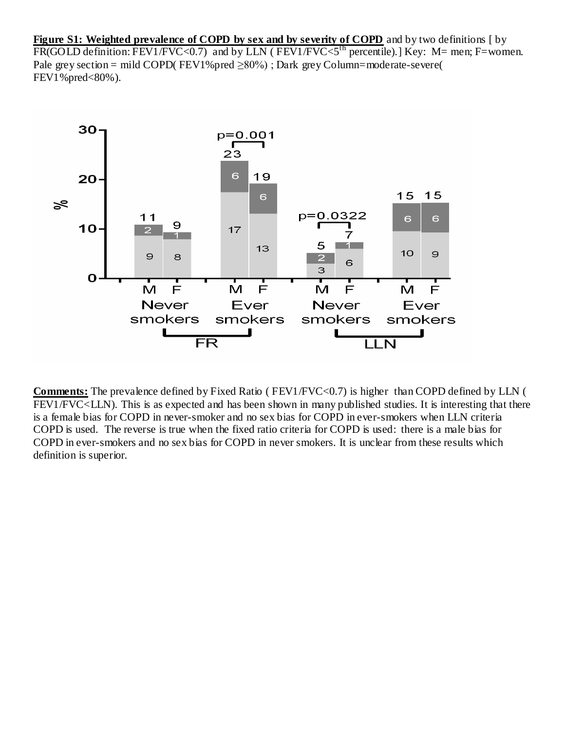**Figure S1: Weighted prevalence of COPD by sex and by severity of COPD** and by two definitions [ by  $F(R(GOLD definition: FEV1/FVC<0.7)$  and by LLN ( $FEV1/FVC<5<sup>th</sup> percentile$ ).] Key: M= men; F=women. Pale grey section = mild COPD( $FEV1\%$  pred  $\geq 80\%$ ); Dark grey Column=moderate-severe( FEV1%pred<80%).



**Comments:** The prevalence defined by Fixed Ratio ( FEV1/FVC<0.7) is higher than COPD defined by LLN ( FEV1/FVC<LLN). This is as expected and has been shown in many published studies. It is interesting that there is a female bias for COPD in never-smoker and no sex bias for COPD in ever-smokers when LLN criteria COPD is used. The reverse is true when the fixed ratio criteria for COPD is used: there is a male bias for COPD in ever-smokers and no sex bias for COPD in never smokers. It is unclear from these results which definition is superior.